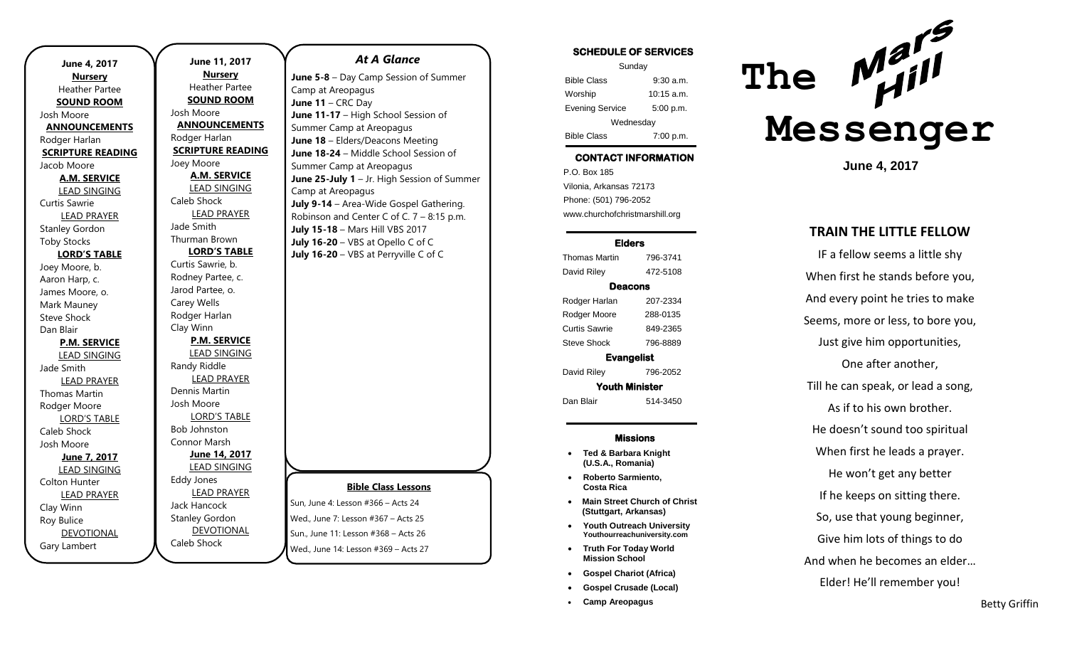| June 4, 2017             | Jı                      |
|--------------------------|-------------------------|
| <b>Nursery</b>           |                         |
| <b>Heather Partee</b>    | H٥                      |
| <b>SOUND ROOM</b>        | SC                      |
| Josh Moore               | Josh M                  |
| <b>ANNOUNCEMENTS</b>     | <b>ANN</b>              |
| Rodger Harlan            | Rodge                   |
| <b>SCRIPTURE READING</b> | <b>SCRIF</b>            |
| Jacob Moore              | Joey M                  |
| <b>A.M. SERVICE</b>      | <u>А</u>                |
| <b>LEAD SINGING</b>      | <u>LE</u>               |
| Curtis Sawrie            | Caleb                   |
| <b>LEAD PRAYER</b>       | $\Box$                  |
| <b>Stanley Gordon</b>    | Jade S                  |
| <b>Toby Stocks</b>       | Thurm                   |
| <b>LORD'S TABLE</b>      | LC                      |
| Joey Moore, b.           | Curtis                  |
| Aaron Harp, c.           | Rodne                   |
| James Moore, o.          | Jarod I                 |
| Mark Mauney              | Carey                   |
| Steve Shock              | Rodge                   |
| Dan Blair                | Clay W                  |
| <b>P.M. SERVICE</b>      | P,                      |
| <b>LEAD SINGING</b>      | <u>LE</u>               |
| Jade Smith               | Randy                   |
| <b>LEAD PRAYER</b>       | Ц                       |
| Thomas Martin            | Dennis                  |
| Rodger Moore             | Josh N                  |
| <b>LORD'S TABLE</b>      | $\overline{\mathsf{L}}$ |
| Caleb Shock              | Bob Jc                  |
| Josh Moore               | Conno                   |
| June 7, 2017             | <u>Jı</u>               |
| <b>LEAD SINGING</b>      | <u>LE</u>               |
| Colton Hunter            | Eddy J                  |
| <b>LEAD PRAYER</b>       | Ц                       |
| Clay Winn                | Jack H                  |
| Roy Bulice               | <b>Stanle</b>           |
| <b>DEVOTIONAL</b>        | D<br>Caleb              |
| Gary Lambert             |                         |
|                          |                         |

### **June 11, 2017 Nursery** eather Partee **SUND ROOM** loore **AOUNCEMENTS** er Harlan **PTURE READING** *A*oore **M. SERVICE LAD SINGING** Shock **EAD PRAYER** imith an Brown **LORD'S TABLE** Sawrie, b. ev Partee, c. Partee, o. Wells er Harlan Vinn **P.M. SERVICE LAD SINGING** Riddle **EAD PRAYER** s Martin Josh Moore ORD'S TABLE **phnston** or Marsh **June 14, 2017 EAD SINGING** Jones LEAD PRAYER lancock v Gordon **DEVOTIONAL** Shock

#### *At A Glance*

**June 5-8** – Day Camp Session of Summer Camp at Areopagus **June 11** – CRC Day **June 11-17** – High School Session of Summer Camp at Areopagus **June 18** – Elders/Deacons Meeting **June 18-24** – Middle School Session of Summer Camp at Areopagus **June 25-July 1** – Jr. High Session of Summer Camp at Areopagus **July 9-14** – Area-Wide Gospel Gathering. Robinson and Center C of C. 7 – 8:15 p.m. **July 15-18** – Mars Hill VBS 2017 **July 16-20** – VBS at Opello C of C **July 16-20** – VBS at Perryville C of C

### **Bible Class Lessons**

Sun, June 4: Lesson #366 – Acts 24 Wed., June 7: Lesson #367 – Acts 25 Sun., June 11: Lesson #368 – Acts 26 Wed., June 14: Lesson #369 – Acts 27

#### SCHEDULE OF SERVICES

| Sunday                 |              |  |
|------------------------|--------------|--|
| <b>Bible Class</b>     | $9:30$ a.m.  |  |
| Worship                | $10:15$ a.m. |  |
| <b>Evening Service</b> | 5:00 p.m.    |  |
| Wednesday              |              |  |
| <b>Bible Class</b>     | 7:00 p.m.    |  |

# CONTACT INFORMATION

. .o. Box 166<br>Vilonia, Arkansas 72173 P.O. Box 185 Phone: (501) 796-2052 www.churchofchristmarshill.org

### Elders

Thomas Martin 796-3741 David Riley 472-5108 Deacons Rodger Harlan 207-2334 Rodger Moore 288-0135 Curtis Sawrie 849-2365 Steve Shock 796-8889 Evangelist David Riley 796-2052 Youth Minister

Dan Blair 514-3450

#### Missions

- **Ted & Barbara Knight (U.S.A., Romania)**
- **Roberto Sarmiento, Costa Rica**
- **Main Street Church of Christ (Stuttgart, Arkansas)**
- **Youth Outreach University Youthourreachuniversity.com**
- **Truth For Today World Mission School**
- **Gospel Chariot (Africa)**
- **Gospel Crusade (Local)**
- **Camp Areopagus**



**June 4, 2017**

## **TRAIN THE LITTLE FELLOW**

IF a fellow seems a little shy When first he stands before you, And every point he tries to make Seems, more or less, to bore you, Just give him opportunities, One after another, Till he can speak, or lead a song, As if to his own brother. He doesn't sound too spiritual When first he leads a prayer. He won't get any better If he keeps on sitting there. So, use that young beginner, Give him lots of things to do And when he becomes an elder… Elder! He'll remember you!